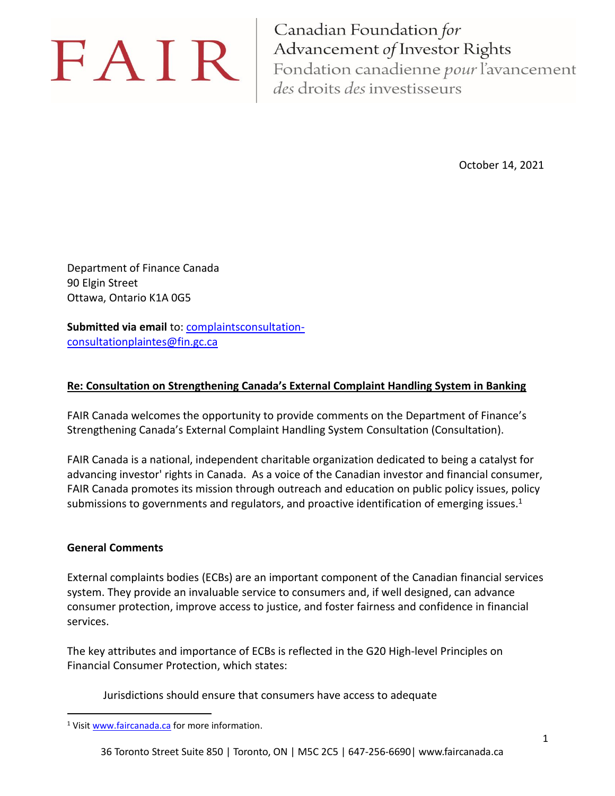# FAIR

Canadian Foundation for Advancement of Investor Rights Fondation canadienne pour l'avancement des droits des investisseurs

October 14, 2021

Department of Finance Canada 90 Elgin Street Ottawa, Ontario K1A 0G5

Submitted via email to: [complaintsconsultation](mailto:complaintsconsultation-consultationplaintes@fin.gc.ca)[consultationplaintes@fin.gc.ca](mailto:complaintsconsultation-consultationplaintes@fin.gc.ca)

#### **Re: Consultation on Strengthening Canada's External Complaint Handling System in Banking**

FAIR Canada welcomes the opportunity to provide comments on the Department of Finance's Strengthening Canada's External Complaint Handling System Consultation (Consultation).

FAIR Canada is a national, independent charitable organization dedicated to being a catalyst for advancing investor' rights in Canada. As a voice of the Canadian investor and financial consumer, FAIR Canada promotes its mission through outreach and education on public policy issues, policy submissions to governments and regulators, and proactive identification of emerging issues.<sup>1</sup>

#### **General Comments**

External complaints bodies (ECBs) are an important component of the Canadian financial services system. They provide an invaluable service to consumers and, if well designed, can advance consumer protection, improve access to justice, and foster fairness and confidence in financial services.

The key attributes and importance of ECBs is reflected in the G20 High-level Principles on Financial Consumer Protection, which states:

Jurisdictions should ensure that consumers have access to adequate

<sup>&</sup>lt;sup>1</sup> Visit [www.faircanada.ca](http://www.faircanada.ca/) for more information.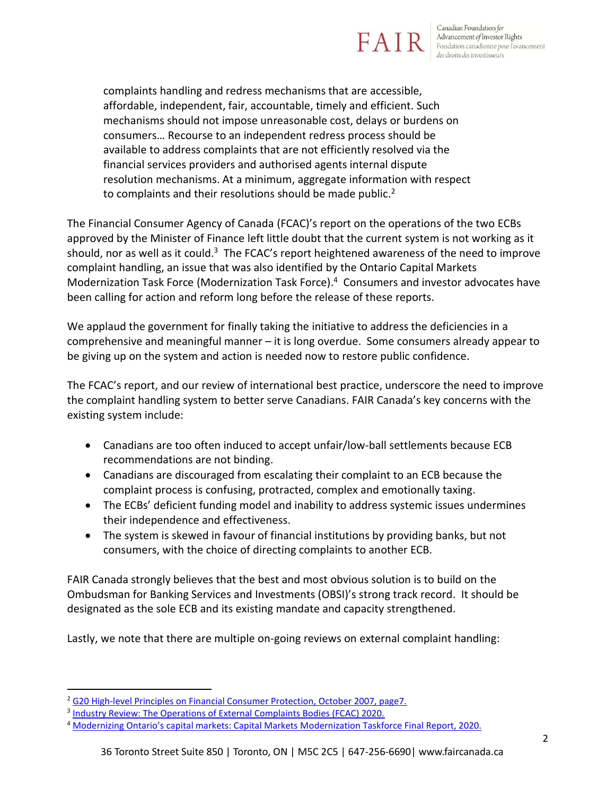# FA

Canadian Foundation for Advancement of Investor Rights Fondation canadienne pour l'avancement<br>des droits des investisseurs

complaints handling and redress mechanisms that are accessible, affordable, independent, fair, accountable, timely and efficient. Such mechanisms should not impose unreasonable cost, delays or burdens on consumers… Recourse to an independent redress process should be available to address complaints that are not efficiently resolved via the financial services providers and authorised agents internal dispute resolution mechanisms. At a minimum, aggregate information with respect to complaints and their resolutions should be made public.<sup>2</sup>

The Financial Consumer Agency of Canada (FCAC)'s report on the operations of the two ECBs approved by the Minister of Finance left little doubt that the current system is not working as it should, nor as well as it could.<sup>3</sup> The FCAC's report heightened awareness of the need to improve complaint handling, an issue that was also identified by the Ontario Capital Markets Modernization Task Force (Modernization Task Force). <sup>4</sup> Consumers and investor advocates have been calling for action and reform long before the release of these reports.

We applaud the government for finally taking the initiative to address the deficiencies in a comprehensive and meaningful manner – it is long overdue. Some consumers already appear to be giving up on the system and action is needed now to restore public confidence.

The FCAC's report, and our review of international best practice, underscore the need to improve the complaint handling system to better serve Canadians. FAIR Canada's key concerns with the existing system include:

- Canadians are too often induced to accept unfair/low-ball settlements because ECB recommendations are not binding.
- Canadians are discouraged from escalating their complaint to an ECB because the complaint process is confusing, protracted, complex and emotionally taxing.
- The ECBs' deficient funding model and inability to address systemic issues undermines their independence and effectiveness.
- The system is skewed in favour of financial institutions by providing banks, but not consumers, with the choice of directing complaints to another ECB.

FAIR Canada strongly believes that the best and most obvious solution is to build on the Ombudsman for Banking Services and Investments (OBSI)'s strong track record. It should be designated as the sole ECB and its existing mandate and capacity strengthened.

Lastly, we note that there are multiple on-going reviews on external complaint handling:

<sup>&</sup>lt;sup>2</sup> [G20 High-level Principles on Financial Consumer Protection, October 2007, page7.](https://www.oecd.org/daf/fin/financial-markets/48892010.pdf)

<sup>&</sup>lt;sup>3</sup> [Industry Review: The Operations of External Complaints Bodies \(FCAC\) 2020.](https://www.canada.ca/en/financial-consumer-agency/programs/research/operations-external-complaints-bodies.html)

<sup>4</sup> [Modernizing Ontario's capital markets: Capital Markets M](https://www.ontario.ca/page/consultation-modernizing-ontarios-capital-markets)odernization Taskforce Final Report, 2020.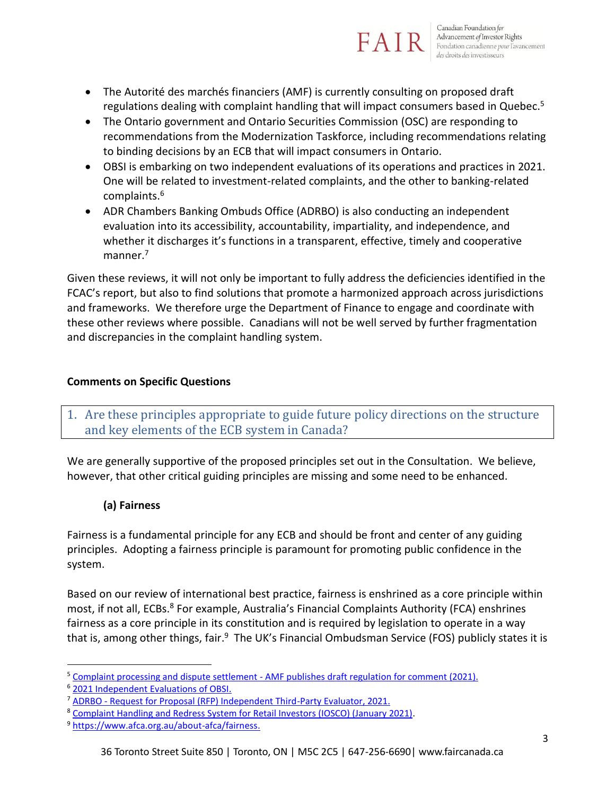

- The Autorité des marchés financiers (AMF) is currently consulting on proposed draft regulations dealing with complaint handling that will impact consumers based in Quebec.<sup>5</sup>
- The Ontario government and Ontario Securities Commission (OSC) are responding to recommendations from the Modernization Taskforce, including recommendations relating to binding decisions by an ECB that will impact consumers in Ontario.
- OBSI is embarking on two independent evaluations of its operations and practices in 2021. One will be related to investment-related complaints, and the other to banking-related complaints.<sup>6</sup>
- ADR Chambers Banking Ombuds Office (ADRBO) is also conducting an independent evaluation into its accessibility, accountability, impartiality, and independence, and whether it discharges it's functions in a transparent, effective, timely and cooperative manner.<sup>7</sup>

Given these reviews, it will not only be important to fully address the deficiencies identified in the FCAC's report, but also to find solutions that promote a harmonized approach across jurisdictions and frameworks. We therefore urge the Department of Finance to engage and coordinate with these other reviews where possible. Canadians will not be well served by further fragmentation and discrepancies in the complaint handling system.

#### **Comments on Specific Questions**

1. Are these principles appropriate to guide future policy directions on the structure and key elements of the ECB system in Canada?

We are generally supportive of the proposed principles set out in the Consultation. We believe, however, that other critical guiding principles are missing and some need to be enhanced.

#### **(a) Fairness**

Fairness is a fundamental principle for any ECB and should be front and center of any guiding principles. Adopting a fairness principle is paramount for promoting public confidence in the system.

Based on our review of international best practice, fairness is enshrined as a core principle within most, if not all, ECBs.<sup>8</sup> For example, Australia's Financial Complaints Authority (FCA) enshrines fairness as a core principle in its constitution and is required by legislation to operate in a way that is, among other things, fair.<sup>9</sup> The UK's Financial Ombudsman Service (FOS) publicly states it is

<sup>&</sup>lt;sup>5</sup> Complaint processing and dispute settlement - [AMF publishes draft regulation for comment \(2021\).](https://lautorite.qc.ca/en/general-public/media-centre/news/fiche-dactualites/amf-publishes-draft-regulation-for-comment)

<sup>6</sup> [2021 Independent Evaluations of OBSI.](https://www.obsi.ca/en/about-us/independent-evaluations.aspx)

<sup>7</sup> ADRBO - [Request for Proposal \(RFP\) Independent Third-Party Evaluator, 2021.](https://bankingombuds.ca/wp-content/uploads/2021/06/ADRBO-3rd-Party-Regulatory-Evaluation-RFP-25June2021-tc.pdf)

<sup>8</sup> [Complaint Handling and Redress System for Retail Investors \(IOSCO\) \(January 2021\).](https://www.iosco.org/library/pubdocs/pdf/IOSCOPD670.pdf)

<sup>9</sup> [https://www.afca.org.au/about-afca/fairness.](https://www.afca.org.au/about-afca/fairness)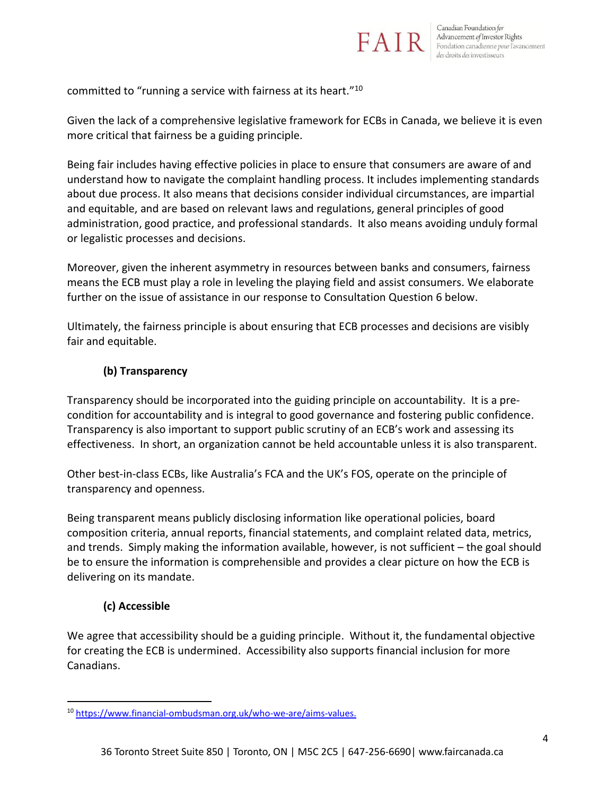

#### committed to "running a service with fairness at its heart."<sup>10</sup>

Given the lack of a comprehensive legislative framework for ECBs in Canada, we believe it is even more critical that fairness be a guiding principle.

Being fair includes having effective policies in place to ensure that consumers are aware of and understand how to navigate the complaint handling process. It includes implementing standards about due process. It also means that decisions consider individual circumstances, are impartial and equitable, and are based on relevant laws and regulations, general principles of good administration, good practice, and professional standards. It also means avoiding unduly formal or legalistic processes and decisions.

Moreover, given the inherent asymmetry in resources between banks and consumers, fairness means the ECB must play a role in leveling the playing field and assist consumers. We elaborate further on the issue of assistance in our response to Consultation Question 6 below.

Ultimately, the fairness principle is about ensuring that ECB processes and decisions are visibly fair and equitable.

#### **(b) Transparency**

Transparency should be incorporated into the guiding principle on accountability. It is a precondition for accountability and is integral to good governance and fostering public confidence. Transparency is also important to support public scrutiny of an ECB's work and assessing its effectiveness. In short, an organization cannot be held accountable unless it is also transparent.

Other best-in-class ECBs, like Australia's FCA and the UK's FOS, operate on the principle of transparency and openness.

Being transparent means publicly disclosing information like operational policies, board composition criteria, annual reports, financial statements, and complaint related data, metrics, and trends. Simply making the information available, however, is not sufficient – the goal should be to ensure the information is comprehensible and provides a clear picture on how the ECB is delivering on its mandate.

#### **(c) Accessible**

We agree that accessibility should be a guiding principle. Without it, the fundamental objective for creating the ECB is undermined. Accessibility also supports financial inclusion for more Canadians.

<sup>10</sup> [https://www.financial-ombudsman.org.uk/who-we-are/aims-values.](https://www.financial-ombudsman.org.uk/who-we-are/aims-values)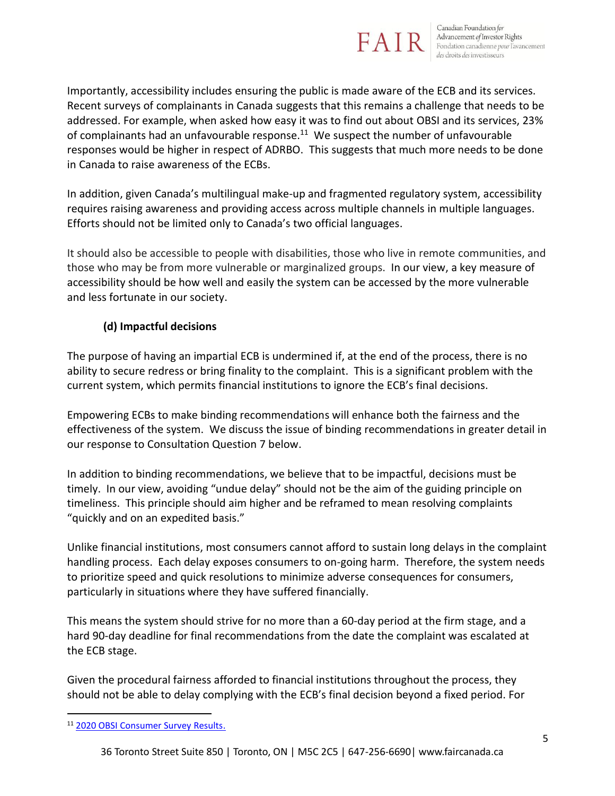

Importantly, accessibility includes ensuring the public is made aware of the ECB and its services. Recent surveys of complainants in Canada suggests that this remains a challenge that needs to be addressed. For example, when asked how easy it was to find out about OBSI and its services, 23% of complainants had an unfavourable response. $^{11}$  We suspect the number of unfavourable responses would be higher in respect of ADRBO. This suggests that much more needs to be done in Canada to raise awareness of the ECBs.

In addition, given Canada's multilingual make-up and fragmented regulatory system, accessibility requires raising awareness and providing access across multiple channels in multiple languages. Efforts should not be limited only to Canada's two official languages.

It should also be accessible to people with disabilities, those who live in remote communities, and those who may be from more vulnerable or marginalized groups. In our view, a key measure of accessibility should be how well and easily the system can be accessed by the more vulnerable and less fortunate in our society.

#### **(d) Impactful decisions**

The purpose of having an impartial ECB is undermined if, at the end of the process, there is no ability to secure redress or bring finality to the complaint. This is a significant problem with the current system, which permits financial institutions to ignore the ECB's final decisions.

Empowering ECBs to make binding recommendations will enhance both the fairness and the effectiveness of the system. We discuss the issue of binding recommendations in greater detail in our response to Consultation Question 7 below.

In addition to binding recommendations, we believe that to be impactful, decisions must be timely. In our view, avoiding "undue delay" should not be the aim of the guiding principle on timeliness. This principle should aim higher and be reframed to mean resolving complaints "quickly and on an expedited basis."

Unlike financial institutions, most consumers cannot afford to sustain long delays in the complaint handling process. Each delay exposes consumers to on-going harm. Therefore, the system needs to prioritize speed and quick resolutions to minimize adverse consequences for consumers, particularly in situations where they have suffered financially.

This means the system should strive for no more than a 60-day period at the firm stage, and a hard 90-day deadline for final recommendations from the date the complaint was escalated at the ECB stage.

Given the procedural fairness afforded to financial institutions throughout the process, they should not be able to delay complying with the ECB's final decision beyond a fixed period. For

<sup>11</sup> [2020 OBSI Consumer Survey Results.](https://www.obsi.ca/en/for-consumers/resources/documents/2020-Consumer-Consolidated-Survey-Results---Final_EN.pdf)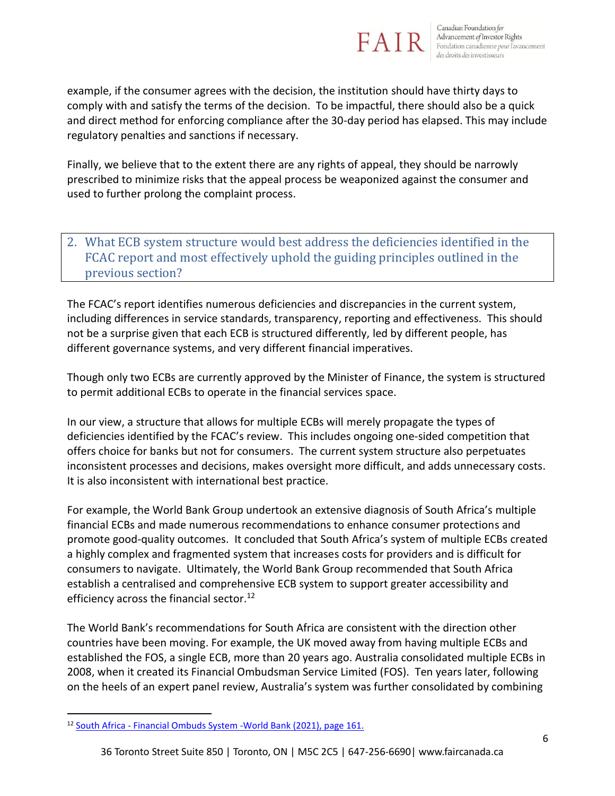

example, if the consumer agrees with the decision, the institution should have thirty days to comply with and satisfy the terms of the decision. To be impactful, there should also be a quick and direct method for enforcing compliance after the 30-day period has elapsed. This may include regulatory penalties and sanctions if necessary.

Finally, we believe that to the extent there are any rights of appeal, they should be narrowly prescribed to minimize risks that the appeal process be weaponized against the consumer and used to further prolong the complaint process.

# 2. What ECB system structure would best address the deficiencies identified in the FCAC report and most effectively uphold the guiding principles outlined in the previous section?

The FCAC's report identifies numerous deficiencies and discrepancies in the current system, including differences in service standards, transparency, reporting and effectiveness. This should not be a surprise given that each ECB is structured differently, led by different people, has different governance systems, and very different financial imperatives.

Though only two ECBs are currently approved by the Minister of Finance, the system is structured to permit additional ECBs to operate in the financial services space.

In our view, a structure that allows for multiple ECBs will merely propagate the types of deficiencies identified by the FCAC's review. This includes ongoing one-sided competition that offers choice for banks but not for consumers. The current system structure also perpetuates inconsistent processes and decisions, makes oversight more difficult, and adds unnecessary costs. It is also inconsistent with international best practice.

For example, the World Bank Group undertook an extensive diagnosis of South Africa's multiple financial ECBs and made numerous recommendations to enhance consumer protections and promote good-quality outcomes. It concluded that South Africa's system of multiple ECBs created a highly complex and fragmented system that increases costs for providers and is difficult for consumers to navigate. Ultimately, the World Bank Group recommended that South Africa establish a centralised and comprehensive ECB system to support greater accessibility and efficiency across the financial sector.<sup>12</sup>

The World Bank's recommendations for South Africa are consistent with the direction other countries have been moving. For example, the UK moved away from having multiple ECBs and established the FOS, a single ECB, more than 20 years ago. Australia consolidated multiple ECBs in 2008, when it created its Financial Ombudsman Service Limited (FOS). Ten years later, following on the heels of an expert panel review, Australia's system was further consolidated by combining

<sup>12</sup> South Africa - [Financial Ombuds System -World Bank \(2021\), page 161.](https://documents1.worldbank.org/curated/en/572061623402638435/pdf/South-Africa-Financial-Ombud-System-Diagnostic.pdf)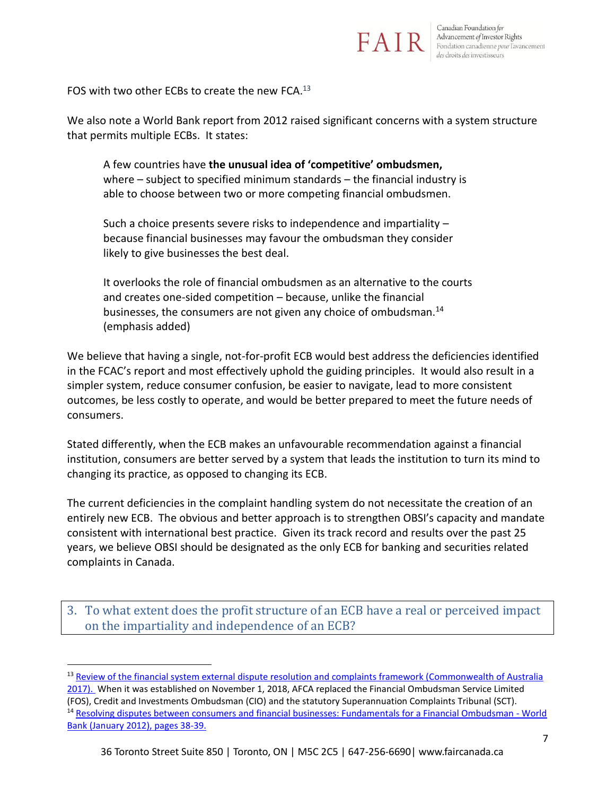

FOS with two other ECBs to create the new FCA. $^{13}$ 

We also note a World Bank report from 2012 raised significant concerns with a system structure that permits multiple ECBs. It states:

A few countries have **the unusual idea of 'competitive' ombudsmen,**  where – subject to specified minimum standards – the financial industry is able to choose between two or more competing financial ombudsmen.

Such a choice presents severe risks to independence and impartiality – because financial businesses may favour the ombudsman they consider likely to give businesses the best deal.

It overlooks the role of financial ombudsmen as an alternative to the courts and creates one-sided competition – because, unlike the financial businesses, the consumers are not given any choice of ombudsman.<sup>14</sup> (emphasis added)

We believe that having a single, not-for-profit ECB would best address the deficiencies identified in the FCAC's report and most effectively uphold the guiding principles. It would also result in a simpler system, reduce consumer confusion, be easier to navigate, lead to more consistent outcomes, be less costly to operate, and would be better prepared to meet the future needs of consumers.

Stated differently, when the ECB makes an unfavourable recommendation against a financial institution, consumers are better served by a system that leads the institution to turn its mind to changing its practice, as opposed to changing its ECB.

The current deficiencies in the complaint handling system do not necessitate the creation of an entirely new ECB. The obvious and better approach is to strengthen OBSI's capacity and mandate consistent with international best practice. Given its track record and results over the past 25 years, we believe OBSI should be designated as the only ECB for banking and securities related complaints in Canada.

3. To what extent does the profit structure of an ECB have a real or perceived impact on the impartiality and independence of an ECB?

<sup>&</sup>lt;sup>13</sup> Review of the financial system external dispute resolution and complaints framework (Commonwealth of Australia [2017\).](https://treasury.gov.au/sites/default/files/2019-03/R2016-002_EDR-Review-Final-report.pdf) When it was established on November 1, 2018, AFCA replaced the Financial Ombudsman Service Limited (FOS), Credit and Investments Ombudsman (CIO) and the statutory Superannuation Complaints Tribunal (SCT). <sup>14</sup> [Resolving disputes between consumers and financial businesses: Fundamentals for a Financial Ombudsman -](https://documents1.worldbank.org/curated/en/169791468233091885/pdf/699160v10ESW0P0en0Vol10Fundamentals.pdf) World [Bank \(January 2012\), pages 38-39.](https://documents1.worldbank.org/curated/en/169791468233091885/pdf/699160v10ESW0P0en0Vol10Fundamentals.pdf)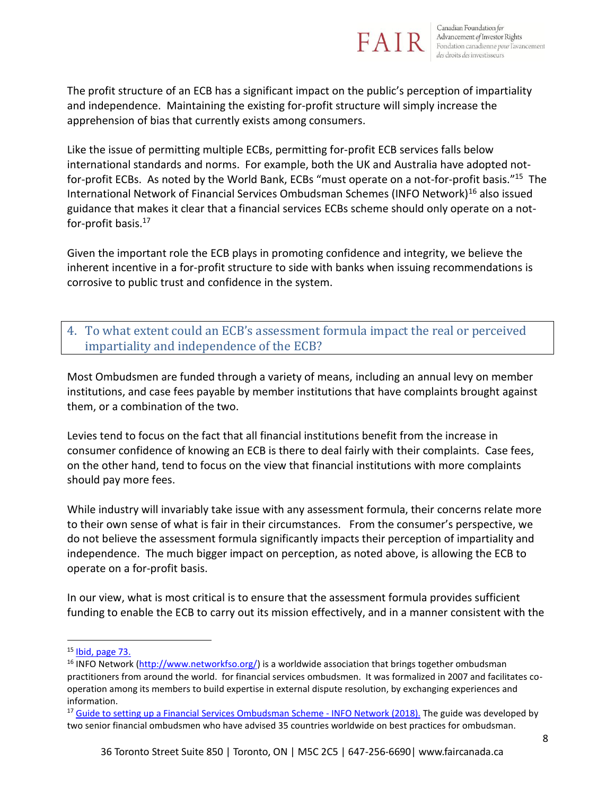

The profit structure of an ECB has a significant impact on the public's perception of impartiality and independence. Maintaining the existing for-profit structure will simply increase the apprehension of bias that currently exists among consumers.

Like the issue of permitting multiple ECBs, permitting for-profit ECB services falls below international standards and norms. For example, both the UK and Australia have adopted notfor-profit ECBs. As noted by the World Bank, ECBs "must operate on a not-for-profit basis."<sup>15</sup> The International Network of Financial Services Ombudsman Schemes (INFO Network)<sup>16</sup> also issued guidance that makes it clear that a financial services ECBs scheme should only operate on a notfor-profit basis.<sup>17</sup>

Given the important role the ECB plays in promoting confidence and integrity, we believe the inherent incentive in a for-profit structure to side with banks when issuing recommendations is corrosive to public trust and confidence in the system.

# 4. To what extent could an ECB's assessment formula impact the real or perceived impartiality and independence of the ECB?

Most Ombudsmen are funded through a variety of means, including an annual levy on member institutions, and case fees payable by member institutions that have complaints brought against them, or a combination of the two.

Levies tend to focus on the fact that all financial institutions benefit from the increase in consumer confidence of knowing an ECB is there to deal fairly with their complaints. Case fees, on the other hand, tend to focus on the view that financial institutions with more complaints should pay more fees.

While industry will invariably take issue with any assessment formula, their concerns relate more to their own sense of what is fair in their circumstances. From the consumer's perspective, we do not believe the assessment formula significantly impacts their perception of impartiality and independence. The much bigger impact on perception, as noted above, is allowing the ECB to operate on a for-profit basis.

In our view, what is most critical is to ensure that the assessment formula provides sufficient funding to enable the ECB to carry out its mission effectively, and in a manner consistent with the

 $15$  [Ibid, page 73.](https://documents1.worldbank.org/curated/en/169791468233091885/pdf/699160v10ESW0P0en0Vol10Fundamentals.pdf)

<sup>&</sup>lt;sup>16</sup> INFO Network [\(http://www.networkfso.org/\)](http://www.networkfso.org/) is a worldwide association that brings together ombudsman practitioners from around the world. for financial services ombudsmen. It was formalized in 2007 and facilitates cooperation among its members to build expertise in external dispute resolution, by exchanging experiences and information.

<sup>&</sup>lt;sup>17</sup> Guide to setting up a Financial [Services Ombudsman Scheme -](http://www.networkfso.org/assets/guide-to-setting-up-a-financial-services-ombudsman-scheme_info-network_march2018.pdf) INFO Network (2018). The guide was developed by two senior financial ombudsmen who have advised 35 countries worldwide on best practices for ombudsman.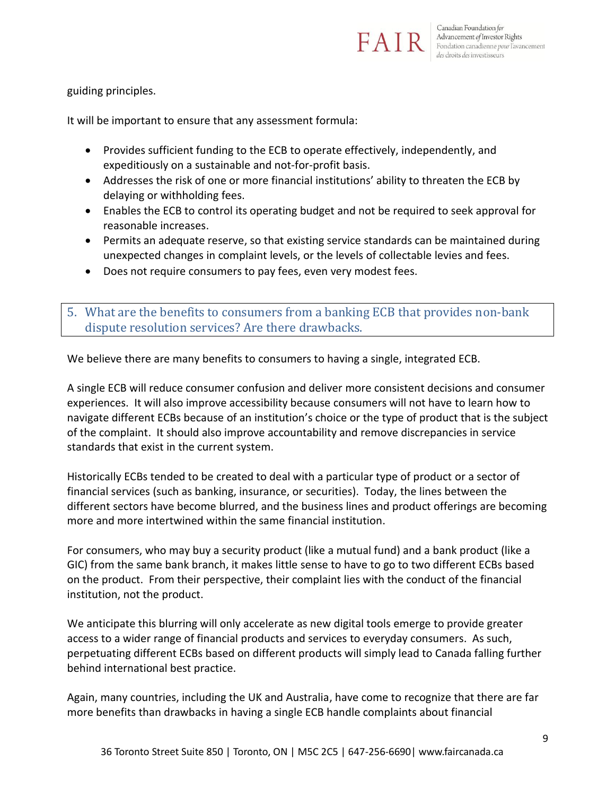

guiding principles.

It will be important to ensure that any assessment formula:

- Provides sufficient funding to the ECB to operate effectively, independently, and expeditiously on a sustainable and not-for-profit basis.
- Addresses the risk of one or more financial institutions' ability to threaten the ECB by delaying or withholding fees.
- Enables the ECB to control its operating budget and not be required to seek approval for reasonable increases.
- Permits an adequate reserve, so that existing service standards can be maintained during unexpected changes in complaint levels, or the levels of collectable levies and fees.
- Does not require consumers to pay fees, even very modest fees.

5. What are the benefits to consumers from a banking ECB that provides non-bank dispute resolution services? Are there drawbacks.

We believe there are many benefits to consumers to having a single, integrated ECB.

A single ECB will reduce consumer confusion and deliver more consistent decisions and consumer experiences. It will also improve accessibility because consumers will not have to learn how to navigate different ECBs because of an institution's choice or the type of product that is the subject of the complaint. It should also improve accountability and remove discrepancies in service standards that exist in the current system.

Historically ECBs tended to be created to deal with a particular type of product or a sector of financial services (such as banking, insurance, or securities). Today, the lines between the different sectors have become blurred, and the business lines and product offerings are becoming more and more intertwined within the same financial institution.

For consumers, who may buy a security product (like a mutual fund) and a bank product (like a GIC) from the same bank branch, it makes little sense to have to go to two different ECBs based on the product. From their perspective, their complaint lies with the conduct of the financial institution, not the product.

We anticipate this blurring will only accelerate as new digital tools emerge to provide greater access to a wider range of financial products and services to everyday consumers. As such, perpetuating different ECBs based on different products will simply lead to Canada falling further behind international best practice.

Again, many countries, including the UK and Australia, have come to recognize that there are far more benefits than drawbacks in having a single ECB handle complaints about financial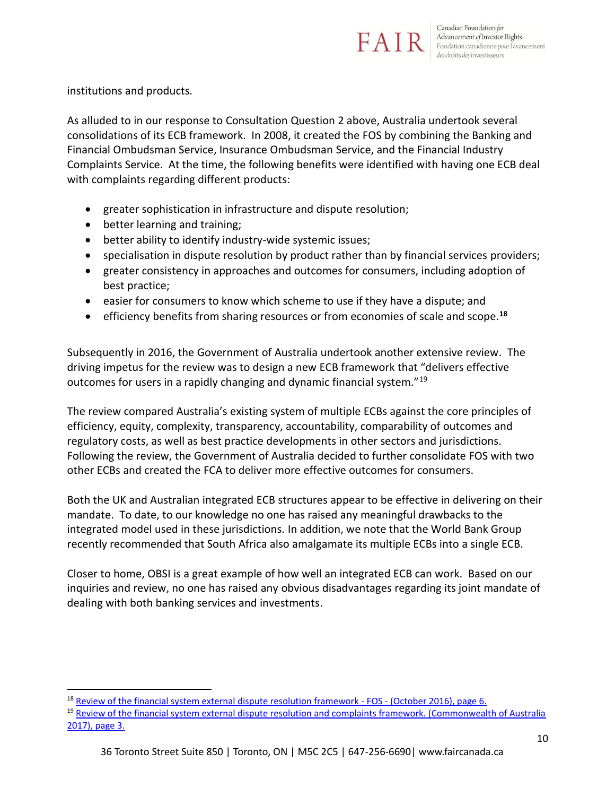

institutions and products.

As alluded to in our response to Consultation Question 2 above, Australia undertook several consolidations of its ECB framework. In 2008, it created the FOS by combining the Banking and Financial Ombudsman Service, Insurance Ombudsman Service, and the Financial Industry Complaints Service. At the time, the following benefits were identified with having one ECB deal with complaints regarding different products:

- greater sophistication in infrastructure and dispute resolution;
- better learning and training;
- better ability to identify industry-wide systemic issues;
- specialisation in dispute resolution by product rather than by financial services providers;
- greater consistency in approaches and outcomes for consumers, including adoption of best practice;
- easier for consumers to know which scheme to use if they have a dispute; and
- efficiency benefits from sharing resources or from economies of scale and scope.**<sup>18</sup>**

Subsequently in 2016, the Government of Australia undertook another extensive review. The driving impetus for the review was to design a new ECB framework that "delivers effective outcomes for users in a rapidly changing and dynamic financial system."<sup>19</sup>

The review compared Australia's existing system of multiple ECBs against the core principles of efficiency, equity, complexity, transparency, accountability, comparability of outcomes and regulatory costs, as well as best practice developments in other sectors and jurisdictions. Following the review, the Government of Australia decided to further consolidate FOS with two other ECBs and created the FCA to deliver more effective outcomes for consumers.

Both the UK and Australian integrated ECB structures appear to be effective in delivering on their mandate. To date, to our knowledge no one has raised any meaningful drawbacks to the integrated model used in these jurisdictions. In addition, we note that the World Bank Group recently recommended that South Africa also amalgamate its multiple ECBs into a single ECB.

Closer to home, OBSI is a great example of how well an integrated ECB can work. Based on our inquiries and review, no one has raised any obvious disadvantages regarding its joint mandate of dealing with both banking services and investments.

<sup>&</sup>lt;sup>18</sup> [Review of the financial system external dispute resolution framework -](https://treasury.gov.au/sites/default/files/2019-03/R2016-002_FOS.pdf) FOS - (October 2016), page 6.

<sup>&</sup>lt;sup>19</sup> Review of the financial system external dispute resolution and complaints framework. (Commonwealth of Australia [2017\), page 3.](https://treasury.gov.au/sites/default/files/2019-03/R2016-002_EDR-Review-Final-report.pdf)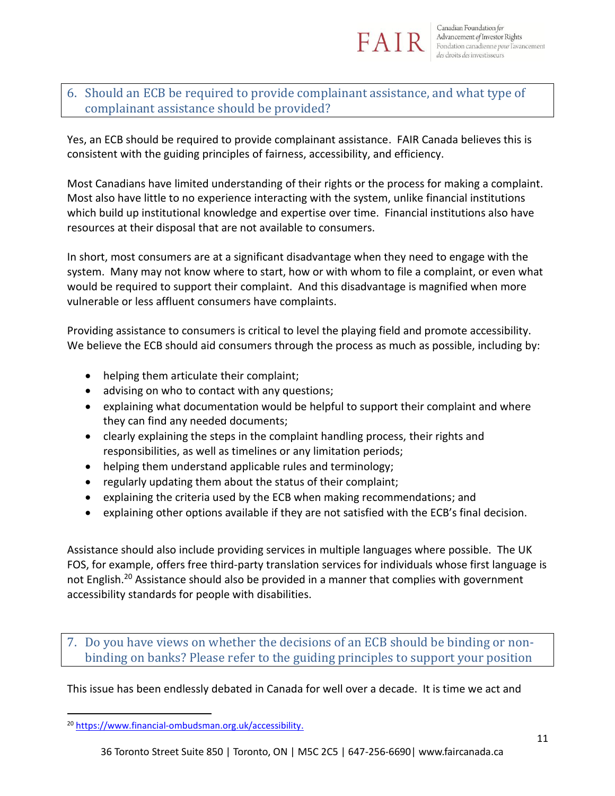

## 6. Should an ECB be required to provide complainant assistance, and what type of complainant assistance should be provided?

Yes, an ECB should be required to provide complainant assistance. FAIR Canada believes this is consistent with the guiding principles of fairness, accessibility, and efficiency.

Most Canadians have limited understanding of their rights or the process for making a complaint. Most also have little to no experience interacting with the system, unlike financial institutions which build up institutional knowledge and expertise over time. Financial institutions also have resources at their disposal that are not available to consumers.

In short, most consumers are at a significant disadvantage when they need to engage with the system. Many may not know where to start, how or with whom to file a complaint, or even what would be required to support their complaint. And this disadvantage is magnified when more vulnerable or less affluent consumers have complaints.

Providing assistance to consumers is critical to level the playing field and promote accessibility. We believe the ECB should aid consumers through the process as much as possible, including by:

- helping them articulate their complaint;
- advising on who to contact with any questions;
- explaining what documentation would be helpful to support their complaint and where they can find any needed documents;
- clearly explaining the steps in the complaint handling process, their rights and responsibilities, as well as timelines or any limitation periods;
- helping them understand applicable rules and terminology;
- regularly updating them about the status of their complaint;
- explaining the criteria used by the ECB when making recommendations; and
- explaining other options available if they are not satisfied with the ECB's final decision.

Assistance should also include providing services in multiple languages where possible. The UK FOS, for example, offers free third-party translation services for individuals whose first language is not English.<sup>20</sup> Assistance should also be provided in a manner that complies with government accessibility standards for people with disabilities.

7. Do you have views on whether the decisions of an ECB should be binding or nonbinding on banks? Please refer to the guiding principles to support your position

This issue has been endlessly debated in Canada for well over a decade. It is time we act and

<sup>&</sup>lt;sup>20</sup> [https://www.financial-ombudsman.org.uk/accessibility.](https://www.financial-ombudsman.org.uk/accessibility)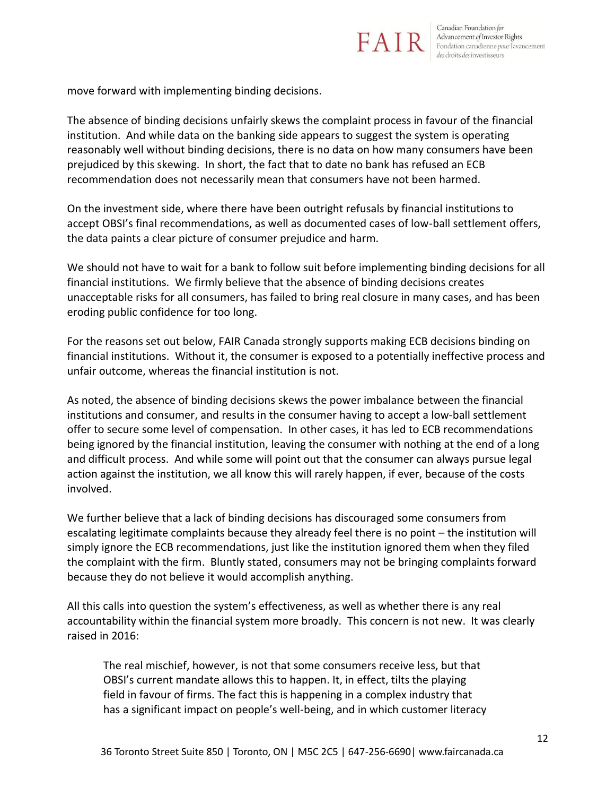

move forward with implementing binding decisions.

The absence of binding decisions unfairly skews the complaint process in favour of the financial institution. And while data on the banking side appears to suggest the system is operating reasonably well without binding decisions, there is no data on how many consumers have been prejudiced by this skewing. In short, the fact that to date no bank has refused an ECB recommendation does not necessarily mean that consumers have not been harmed.

On the investment side, where there have been outright refusals by financial institutions to accept OBSI's final recommendations, as well as documented cases of low-ball settlement offers, the data paints a clear picture of consumer prejudice and harm.

We should not have to wait for a bank to follow suit before implementing binding decisions for all financial institutions. We firmly believe that the absence of binding decisions creates unacceptable risks for all consumers, has failed to bring real closure in many cases, and has been eroding public confidence for too long.

For the reasons set out below, FAIR Canada strongly supports making ECB decisions binding on financial institutions. Without it, the consumer is exposed to a potentially ineffective process and unfair outcome, whereas the financial institution is not.

As noted, the absence of binding decisions skews the power imbalance between the financial institutions and consumer, and results in the consumer having to accept a low-ball settlement offer to secure some level of compensation. In other cases, it has led to ECB recommendations being ignored by the financial institution, leaving the consumer with nothing at the end of a long and difficult process. And while some will point out that the consumer can always pursue legal action against the institution, we all know this will rarely happen, if ever, because of the costs involved.

We further believe that a lack of binding decisions has discouraged some consumers from escalating legitimate complaints because they already feel there is no point – the institution will simply ignore the ECB recommendations, just like the institution ignored them when they filed the complaint with the firm. Bluntly stated, consumers may not be bringing complaints forward because they do not believe it would accomplish anything.

All this calls into question the system's effectiveness, as well as whether there is any real accountability within the financial system more broadly. This concern is not new. It was clearly raised in 2016:

The real mischief, however, is not that some consumers receive less, but that OBSI's current mandate allows this to happen. It, in effect, tilts the playing field in favour of firms. The fact this is happening in a complex industry that has a significant impact on people's well-being, and in which customer literacy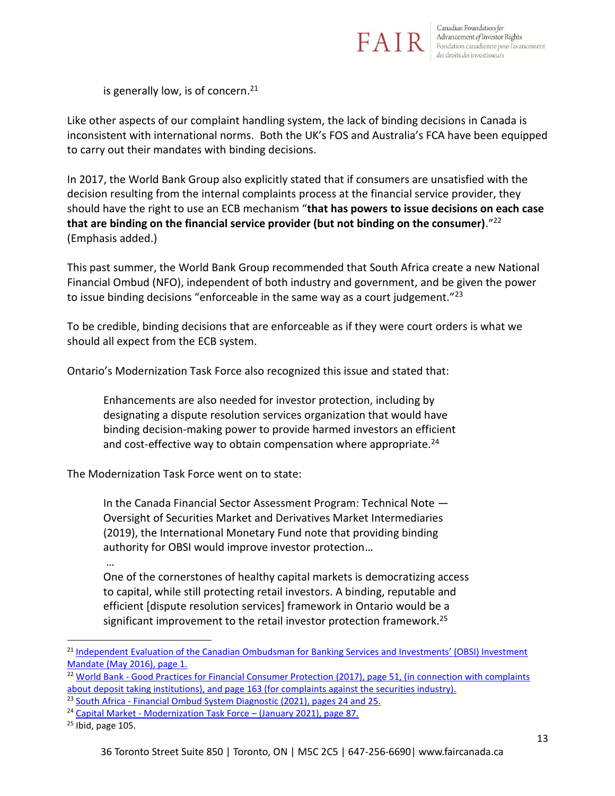

is generally low, is of concern.<sup>21</sup>

Like other aspects of our complaint handling system, the lack of binding decisions in Canada is inconsistent with international norms. Both the UK's FOS and Australia's FCA have been equipped to carry out their mandates with binding decisions.

In 2017, the World Bank Group also explicitly stated that if consumers are unsatisfied with the decision resulting from the internal complaints process at the financial service provider, they should have the right to use an ECB mechanism "**that has powers to issue decisions on each case that are binding on the financial service provider (but not binding on the consumer)**." 22 (Emphasis added.)

This past summer, the World Bank Group recommended that South Africa create a new National Financial Ombud (NFO), independent of both industry and government, and be given the power to issue binding decisions "enforceable in the same way as a court judgement."<sup>23</sup>

To be credible, binding decisions that are enforceable as if they were court orders is what we should all expect from the ECB system.

Ontario's Modernization Task Force also recognized this issue and stated that:

Enhancements are also needed for investor protection, including by designating a dispute resolution services organization that would have binding decision-making power to provide harmed investors an efficient and cost-effective way to obtain compensation where appropriate. $24$ 

The Modernization Task Force went on to state:

In the Canada Financial Sector Assessment Program: Technical Note — Oversight of Securities Market and Derivatives Market Intermediaries (2019), the International Monetary Fund note that providing binding authority for OBSI would improve investor protection…

…

One of the cornerstones of healthy capital markets is democratizing access to capital, while still protecting retail investors. A binding, reputable and efficient [dispute resolution services] framework in Ontario would be a significant improvement to the retail investor protection framework.<sup>25</sup>

<sup>&</sup>lt;sup>21</sup> Independent Evaluation of the Canadian Ombudsman for Banking Services and Investments' (OBSI) Investment [Mandate \(May 2016\), page 1.](https://www.obsi.ca/en/news-and-publications/resources/PresentationsandSubmissions/2016-Independent-Evaluation-Investment-Mandate.pdf)

<sup>&</sup>lt;sup>22</sup> World Bank - Good Practices for Financial Consumer Protection (2017), page 51, (in connection with complaints [about deposit taking institutions\), and page 163 \(for complaints against the securities industry\).](https://documents1.worldbank.org/curated/en/492761513113437043/pdf/122011-PUBLIC-GoodPractices-WebFinal.pdf)

 $\frac{23}{23}$  South Africa - Financial [Ombud System Diagnostic](https://documents1.worldbank.org/curated/en/572061623402638435/pdf/South-Africa-Financial-Ombud-System-Diagnostic.pdf) (2021), pages 24 and 25.

<sup>24</sup> Capital Market - [Modernization Task Force](https://files.ontario.ca/books/mof-capital-markets-modernization-taskforce-final-report-en-2021-01-22-v2.pdf) – (January 2021), page 87.

 $25$  Ibid, page 105.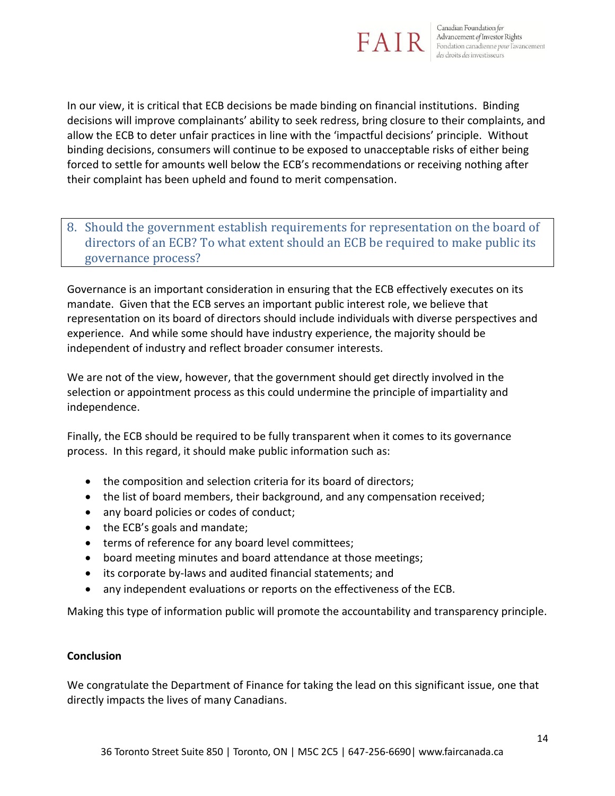

In our view, it is critical that ECB decisions be made binding on financial institutions. Binding decisions will improve complainants' ability to seek redress, bring closure to their complaints, and allow the ECB to deter unfair practices in line with the 'impactful decisions' principle. Without binding decisions, consumers will continue to be exposed to unacceptable risks of either being forced to settle for amounts well below the ECB's recommendations or receiving nothing after their complaint has been upheld and found to merit compensation.

## 8. Should the government establish requirements for representation on the board of directors of an ECB? To what extent should an ECB be required to make public its governance process?

Governance is an important consideration in ensuring that the ECB effectively executes on its mandate. Given that the ECB serves an important public interest role, we believe that representation on its board of directors should include individuals with diverse perspectives and experience. And while some should have industry experience, the majority should be independent of industry and reflect broader consumer interests.

We are not of the view, however, that the government should get directly involved in the selection or appointment process as this could undermine the principle of impartiality and independence.

Finally, the ECB should be required to be fully transparent when it comes to its governance process. In this regard, it should make public information such as:

- the composition and selection criteria for its board of directors;
- the list of board members, their background, and any compensation received;
- any board policies or codes of conduct;
- the ECB's goals and mandate;
- terms of reference for any board level committees;
- board meeting minutes and board attendance at those meetings;
- its corporate by-laws and audited financial statements; and
- any independent evaluations or reports on the effectiveness of the ECB.

Making this type of information public will promote the accountability and transparency principle.

#### **Conclusion**

We congratulate the Department of Finance for taking the lead on this significant issue, one that directly impacts the lives of many Canadians.